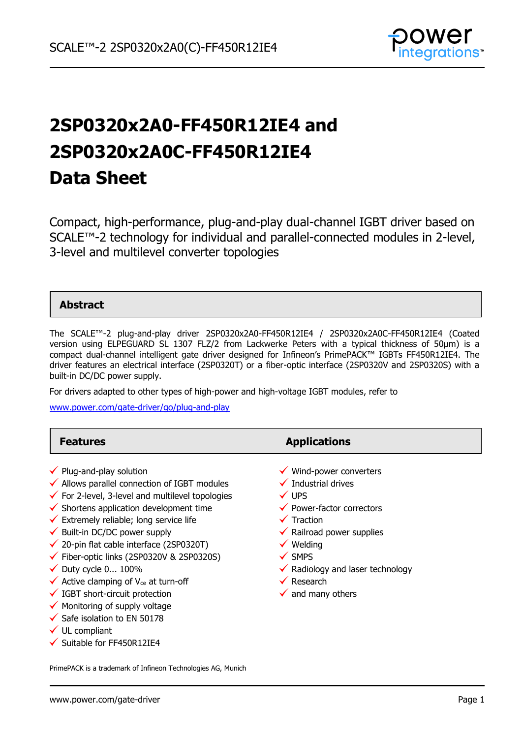

# **2SP0320x2A0-FF450R12IE4 and 2SP0320x2A0C-FF450R12IE4 Data Sheet**

Compact, high-performance, plug-and-play dual-channel IGBT driver based on SCALE™-2 technology for individual and parallel-connected modules in 2-level, 3-level and multilevel converter topologies

### **Abstract**

The SCALE™-2 plug-and-play driver 2SP0320x2A0-FF450R12IE4 / 2SP0320x2A0C-FF450R12IE4 (Coated version using ELPEGUARD SL 1307 FLZ/2 from Lackwerke Peters with a typical thickness of 50µm) is a compact dual-channel intelligent gate driver designed for Infineon's PrimePACK™ IGBTs FF450R12IE4. The driver features an electrical interface (2SP0320T) or a fiber-optic interface (2SP0320V and 2SP0320S) with a built-in DC/DC power supply.

For drivers adapted to other types of high-power and high-voltage IGBT modules, refer to

[www.power.com/gate-driver/go/plug-and-play](http://www.power.com/gate-driver/go/plug-and-play)

| <b>Features</b>                                                                                                                                                                                                                                                                                                                                                                                                                                                                                                                                                                                                                                                             | <b>Applications</b>                                                                                                                                                                                                                                                                                                            |
|-----------------------------------------------------------------------------------------------------------------------------------------------------------------------------------------------------------------------------------------------------------------------------------------------------------------------------------------------------------------------------------------------------------------------------------------------------------------------------------------------------------------------------------------------------------------------------------------------------------------------------------------------------------------------------|--------------------------------------------------------------------------------------------------------------------------------------------------------------------------------------------------------------------------------------------------------------------------------------------------------------------------------|
| $\checkmark$ Plug-and-play solution<br>$\checkmark$ Allows parallel connection of IGBT modules<br>$\checkmark$ For 2-level, 3-level and multilevel topologies<br>$\checkmark$ Shortens application development time<br>$\checkmark$ Extremely reliable; long service life<br>$\checkmark$ Built-in DC/DC power supply<br>$\checkmark$ 20-pin flat cable interface (2SP0320T)<br>$\checkmark$ Fiber-optic links (2SP0320V & 2SP0320S)<br>$\checkmark$ Duty cycle 0 100%<br>$\checkmark$ Active clamping of V <sub>ce</sub> at turn-off<br>$\checkmark$ IGBT short-circuit protection<br>$\checkmark$ Monitoring of supply voltage<br>$\checkmark$ Safe isolation to EN 50178 | ✔ Wind-power converters<br>Industrial drives<br>$\checkmark$ UPS<br>$\checkmark$ Power-factor correctors<br>$\checkmark$ Traction<br>$\checkmark$ Railroad power supplies<br>$\checkmark$ Welding<br>$\checkmark$ SMPS<br>$\checkmark$ Radiology and laser technology<br>$\checkmark$ Research<br>$\checkmark$ and many others |
| $\checkmark$ UL compliant                                                                                                                                                                                                                                                                                                                                                                                                                                                                                                                                                                                                                                                   |                                                                                                                                                                                                                                                                                                                                |

 $\checkmark$  Suitable for FF450R12IE4

PrimePACK is a trademark of Infineon Technologies AG, Munich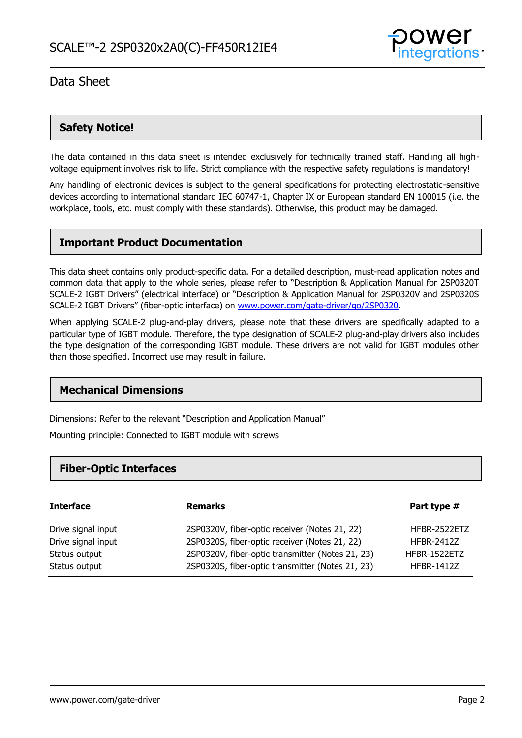

## **Safety Notice!**

The data contained in this data sheet is intended exclusively for technically trained staff. Handling all highvoltage equipment involves risk to life. Strict compliance with the respective safety regulations is mandatory!

Any handling of electronic devices is subject to the general specifications for protecting electrostatic-sensitive devices according to international standard IEC 60747-1, Chapter IX or European standard EN 100015 (i.e. the workplace, tools, etc. must comply with these standards). Otherwise, this product may be damaged.

### **Important Product Documentation**

This data sheet contains only product-specific data. For a detailed description, must-read application notes and common data that apply to the whole series, please refer to "Description & Application Manual for 2SP0320T SCALE-2 IGBT Drivers" (electrical interface) or "Description & Application Manual for 2SP0320V and 2SP0320S SCALE-2 IGBT Drivers" (fiber-optic interface) on [www.power.com/gate-driver/go/2SP0320.](http://www.power.com/gate-driver/go/2SP0320)

When applying SCALE-2 plug-and-play drivers, please note that these drivers are specifically adapted to a particular type of IGBT module. Therefore, the type designation of SCALE-2 plug-and-play drivers also includes the type designation of the corresponding IGBT module. These drivers are not valid for IGBT modules other than those specified. Incorrect use may result in failure.

### **Mechanical Dimensions**

Dimensions: Refer to the relevant "Description and Application Manual"

Mounting principle: Connected to IGBT module with screws

### **Fiber-Optic Interfaces**

| <b>Interface</b>   | <b>Remarks</b>                                   | Part type #       |
|--------------------|--------------------------------------------------|-------------------|
| Drive signal input | 2SP0320V, fiber-optic receiver (Notes 21, 22)    | HFBR-2522ETZ      |
| Drive signal input | 2SP0320S, fiber-optic receiver (Notes 21, 22)    | <b>HFBR-2412Z</b> |
| Status output      | 2SP0320V, fiber-optic transmitter (Notes 21, 23) | HFBR-1522ETZ      |
| Status output      | 2SP0320S, fiber-optic transmitter (Notes 21, 23) | <b>HFBR-1412Z</b> |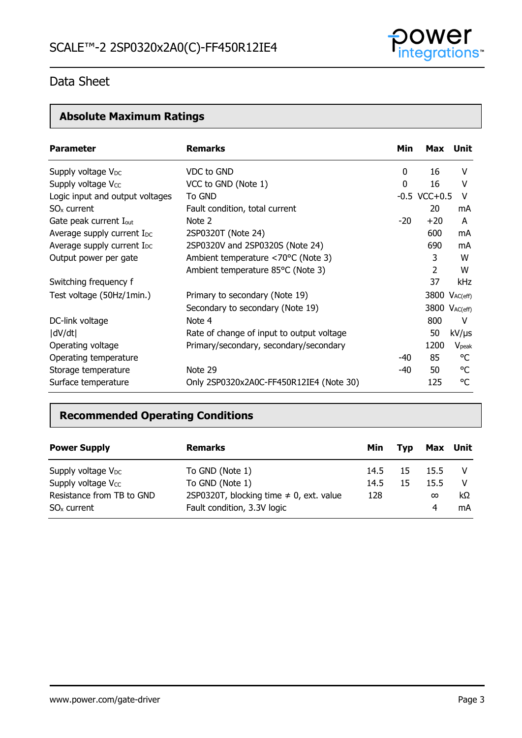

## **Absolute Maximum Ratings**

| <b>Parameter</b>                       | <b>Remarks</b>                            | Min   | Max                       | Unit              |
|----------------------------------------|-------------------------------------------|-------|---------------------------|-------------------|
| Supply voltage V <sub>DC</sub>         | VDC to GND                                | 0     | 16                        | v                 |
| Supply voltage V <sub>cc</sub>         | VCC to GND (Note 1)                       | 0     | 16                        | v                 |
| Logic input and output voltages        | To GND                                    |       | $-0.5$ VCC $+0.5$         | V                 |
| $SOx$ current                          | Fault condition, total current            |       | 20                        | mA                |
| Gate peak current I <sub>out</sub>     | Note 2                                    | $-20$ | $+20$                     | A                 |
| Average supply current I <sub>DC</sub> | 2SP0320T (Note 24)                        |       | 600                       | mA                |
| Average supply current I <sub>DC</sub> | 2SP0320V and 2SP0320S (Note 24)           |       | 690                       | mA                |
| Output power per gate                  | Ambient temperature <70°C (Note 3)        |       | 3                         | W                 |
|                                        | Ambient temperature 85°C (Note 3)         |       | 2                         | W                 |
| Switching frequency f                  |                                           |       | 37                        | <b>kHz</b>        |
| Test voltage (50Hz/1min.)              | Primary to secondary (Note 19)            |       | 3800 VAC(eff)             |                   |
|                                        | Secondary to secondary (Note 19)          |       | 3800 V <sub>AC(eff)</sub> |                   |
| DC-link voltage                        | Note 4                                    |       | 800                       | V                 |
| dV/dt                                  | Rate of change of input to output voltage |       | 50                        | $kV/\mu s$        |
| Operating voltage                      | Primary/secondary, secondary/secondary    |       | 1200                      | $V_{\text{peak}}$ |
| Operating temperature                  |                                           | $-40$ | 85                        | °C                |
| Storage temperature                    | Note 29                                   | -40   | 50                        | °C                |
| Surface temperature                    | Only 2SP0320x2A0C-FF450R12IE4 (Note 30)   |       | 125                       | °C                |

## **Recommended Operating Conditions**

| <b>Power Supply</b>            | <b>Remarks</b>                               | Min  | <b>Tvp</b> | Max      | Unit |
|--------------------------------|----------------------------------------------|------|------------|----------|------|
| Supply voltage $V_{DC}$        | To GND (Note 1)                              | 14.5 | 15         | 15.5     |      |
| Supply voltage V <sub>cc</sub> | To GND (Note 1)                              | 14.5 | 15         | 15.5     | - V  |
| Resistance from TB to GND      | 2SP0320T, blocking time $\neq$ 0, ext. value | 128  |            | $\infty$ | kΩ   |
| $SOx$ current                  | Fault condition, 3.3V logic                  |      |            | 4        | mA   |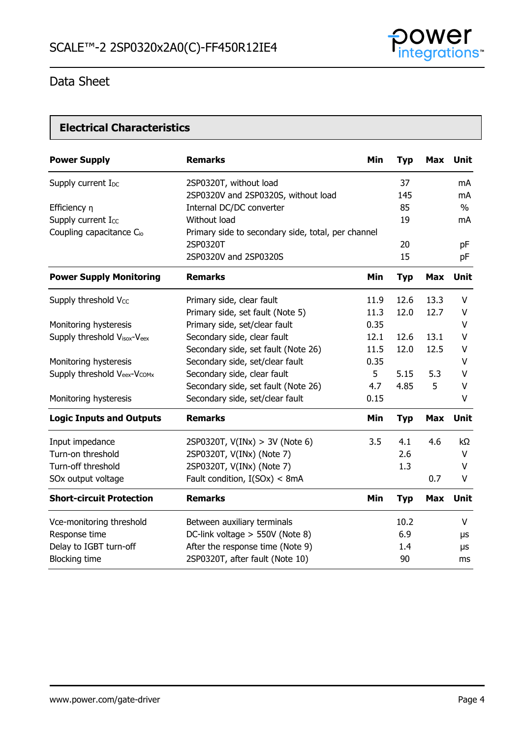

## **Electrical Characteristics**

| <b>Power Supply</b>                  | <b>Remarks</b>                                     | Min  | <b>Typ</b> | <b>Max</b> | <b>Unit</b> |
|--------------------------------------|----------------------------------------------------|------|------------|------------|-------------|
| Supply current I <sub>DC</sub>       | 2SP0320T, without load                             |      | 37         |            | mA          |
|                                      | 2SP0320V and 2SP0320S, without load                |      | 145        |            | mA          |
| Efficiency n                         | Internal DC/DC converter                           |      | 85         |            | $\%$        |
| Supply current Icc                   | Without load                                       |      | 19         |            | mA          |
| Coupling capacitance C <sub>io</sub> | Primary side to secondary side, total, per channel |      |            |            |             |
|                                      | 2SP0320T                                           |      | 20         |            | pF          |
|                                      | 2SP0320V and 2SP0320S                              |      | 15         |            | pF          |
| <b>Power Supply Monitoring</b>       | <b>Remarks</b>                                     | Min  | <b>Typ</b> | <b>Max</b> | <b>Unit</b> |
| Supply threshold Vcc                 | Primary side, clear fault                          | 11.9 | 12.6       | 13.3       | v           |
|                                      | Primary side, set fault (Note 5)                   | 11.3 | 12.0       | 12.7       | V           |
| Monitoring hysteresis                | Primary side, set/clear fault                      | 0.35 |            |            | V           |
| Supply threshold Visox-Veex          | Secondary side, clear fault                        | 12.1 | 12.6       | 13.1       | V           |
|                                      | Secondary side, set fault (Note 26)                | 11.5 | 12.0       | 12.5       | V           |
| Monitoring hysteresis                | Secondary side, set/clear fault                    | 0.35 |            |            | V           |
| Supply threshold Veex-Vcomx          | Secondary side, clear fault                        | 5    | 5.15       | 5.3        | V           |
|                                      | Secondary side, set fault (Note 26)                | 4.7  | 4.85       | 5          | V           |
| Monitoring hysteresis                | Secondary side, set/clear fault                    | 0.15 |            |            | V           |
| <b>Logic Inputs and Outputs</b>      | <b>Remarks</b>                                     | Min  | <b>Typ</b> | <b>Max</b> | <b>Unit</b> |
| Input impedance                      | 2SP0320T, $V(INx) > 3V$ (Note 6)                   | 3.5  | 4.1        | 4.6        | kΩ          |
| Turn-on threshold                    | 2SP0320T, V(INx) (Note 7)                          |      | 2.6        |            | V           |
| Turn-off threshold                   | 2SP0320T, V(INx) (Note 7)                          |      | 1.3        |            | V           |
| SOx output voltage                   | Fault condition, I(SOx) < 8mA                      |      |            | 0.7        | V           |
| <b>Short-circuit Protection</b>      | <b>Remarks</b>                                     | Min  | <b>Typ</b> | <b>Max</b> | <b>Unit</b> |
| Vce-monitoring threshold             | Between auxiliary terminals                        |      | 10.2       |            | V           |
| Response time                        | DC-link voltage > 550V (Note 8)                    |      | 6.9        |            | μs          |
| Delay to IGBT turn-off               | After the response time (Note 9)                   |      | 1.4        |            | μs          |
| <b>Blocking time</b>                 | 2SP0320T, after fault (Note 10)                    |      | 90         |            | ms          |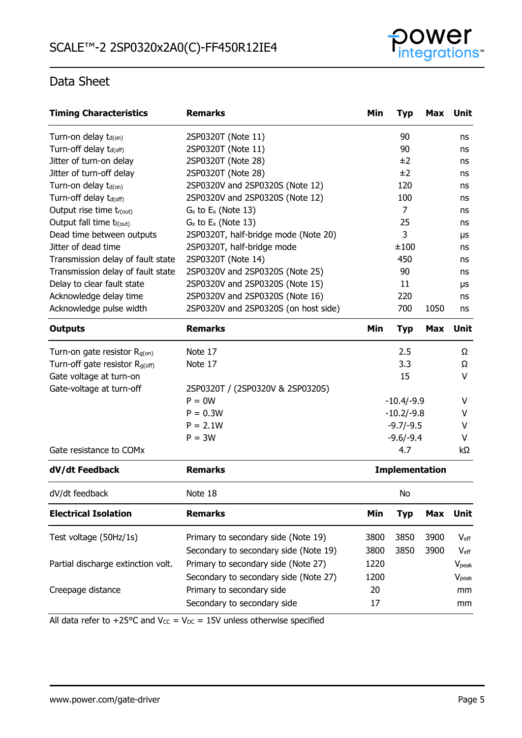

| <b>Timing Characteristics</b>              | <b>Remarks</b>                        | Min                   | <b>Typ</b>     | Max        | <b>Unit</b>       |
|--------------------------------------------|---------------------------------------|-----------------------|----------------|------------|-------------------|
| Turn-on delay t <sub>d(on)</sub>           | 2SP0320T (Note 11)                    |                       | 90             |            | ns                |
| Turn-off delay td(off)                     | 2SP0320T (Note 11)                    |                       | 90             |            | ns                |
| Jitter of turn-on delay                    | 2SP0320T (Note 28)                    |                       | ±2             |            | ns                |
| Jitter of turn-off delay                   | 2SP0320T (Note 28)                    |                       | ±2             |            | ns                |
| Turn-on delay t <sub>d(on)</sub>           | 2SP0320V and 2SP0320S (Note 12)       |                       | 120            |            | ns                |
| Turn-off delay t <sub>d(off)</sub>         | 2SP0320V and 2SP0320S (Note 12)       |                       | 100            |            | ns                |
| Output rise time tr(out)                   | $G_x$ to $E_x$ (Note 13)              |                       | $\overline{7}$ |            | ns                |
| Output fall time t <sub>f(out)</sub>       | $G_x$ to $E_x$ (Note 13)              |                       | 25             |            | ns                |
| Dead time between outputs                  | 2SP0320T, half-bridge mode (Note 20)  |                       | 3              |            | μs                |
| Jitter of dead time                        | 2SP0320T, half-bridge mode            |                       | ±100           |            | ns                |
| Transmission delay of fault state          | 2SP0320T (Note 14)                    |                       | 450            |            | ns                |
| Transmission delay of fault state          | 2SP0320V and 2SP0320S (Note 25)       |                       | 90             |            | ns                |
| Delay to clear fault state                 | 2SP0320V and 2SP0320S (Note 15)       |                       | 11             |            | μs                |
| Acknowledge delay time                     | 2SP0320V and 2SP0320S (Note 16)       |                       | 220            |            | ns                |
| Acknowledge pulse width                    | 2SP0320V and 2SP0320S (on host side)  |                       | 700            | 1050       | ns                |
| <b>Outputs</b>                             | <b>Remarks</b>                        | Min                   | <b>Typ</b>     | <b>Max</b> | Unit              |
| Turn-on gate resistor $R_{g(on)}$          | Note 17                               |                       | 2.5            |            | Ω                 |
| Turn-off gate resistor R <sub>g(off)</sub> | Note 17                               |                       | 3.3            |            | Ω                 |
| Gate voltage at turn-on                    |                                       |                       | 15             |            | $\vee$            |
| Gate-voltage at turn-off                   | 2SP0320T / (2SP0320V & 2SP0320S)      |                       |                |            |                   |
|                                            | $P = 0W$                              | $-10.4/-9.9$          |                |            | V                 |
|                                            | $P = 0.3W$                            |                       | $-10.2/-9.8$   |            | v                 |
|                                            | $P = 2.1W$                            |                       | $-9.7/-9.5$    |            | v                 |
|                                            | $P = 3W$                              |                       | $-9.6/-9.4$    |            | v                 |
| Gate resistance to COMx                    |                                       |                       | 4.7            |            | kΩ                |
| dV/dt Feedback                             | <b>Remarks</b>                        | <b>Implementation</b> |                |            |                   |
| dV/dt feedback                             | Note 18                               |                       | No             |            |                   |
| <b>Electrical Isolation</b>                | <b>Remarks</b>                        | Min                   | <b>Typ</b>     | <b>Max</b> | Unit              |
| Test voltage (50Hz/1s)                     | Primary to secondary side (Note 19)   | 3800                  | 3850           | 3900       | $V_{\text{eff}}$  |
|                                            | Secondary to secondary side (Note 19) | 3800                  | 3850           | 3900       | $V_{\rm eff}$     |
| Partial discharge extinction volt.         | Primary to secondary side (Note 27)   | 1220                  |                |            | V <sub>peak</sub> |
|                                            | Secondary to secondary side (Note 27) | 1200                  |                |            | V <sub>peak</sub> |
| Creepage distance                          | Primary to secondary side             | 20                    |                |            | mm                |
|                                            | Secondary to secondary side           | 17                    |                |            |                   |
|                                            |                                       |                       |                |            | mm                |

All data refer to +25°C and  $V_{CC} = V_{DC} = 15V$  unless otherwise specified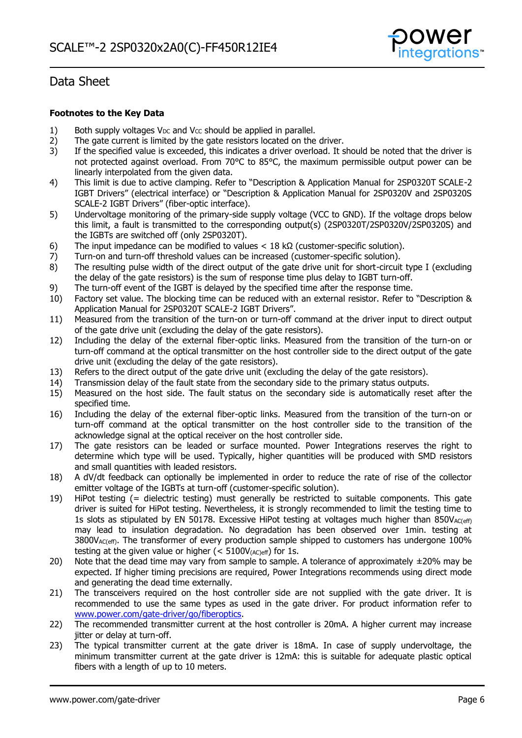

### **Footnotes to the Key Data**

- 1) Both supply voltages V<sub>DC</sub> and V<sub>CC</sub> should be applied in parallel.<br>2) The gate current is limited by the gate resistors located on the
- 2) The gate current is limited by the gate resistors located on the driver.<br>3) If the specified value is exceeded, this indicates a driver overload. It s
- If the specified value is exceeded, this indicates a driver overload. It should be noted that the driver is not protected against overload. From 70°C to 85°C, the maximum permissible output power can be linearly interpolated from the given data.
- 4) This limit is due to active clamping. Refer to "Description & Application Manual for 2SP0320T SCALE-2 IGBT Drivers" (electrical interface) or "Description & Application Manual for 2SP0320V and 2SP0320S SCALE-2 IGBT Drivers" (fiber-optic interface).
- 5) Undervoltage monitoring of the primary-side supply voltage (VCC to GND). If the voltage drops below this limit, a fault is transmitted to the corresponding output(s) (2SP0320T/2SP0320V/2SP0320S) and the IGBTs are switched off (only 2SP0320T).
- 6) The input impedance can be modified to values  $<$  18 k $\Omega$  (customer-specific solution).
- 7) Turn-on and turn-off threshold values can be increased (customer-specific solution).<br>8) The resulting pulse width of the direct output of the gate drive unit for short-circuit
- The resulting pulse width of the direct output of the gate drive unit for short-circuit type I (excluding the delay of the gate resistors) is the sum of response time plus delay to IGBT turn-off.
- 9) The turn-off event of the IGBT is delayed by the specified time after the response time.
- 10) Factory set value. The blocking time can be reduced with an external resistor. Refer to "Description & Application Manual for 2SP0320T SCALE-2 IGBT Drivers".
- 11) Measured from the transition of the turn-on or turn-off command at the driver input to direct output of the gate drive unit (excluding the delay of the gate resistors).
- 12) Including the delay of the external fiber-optic links. Measured from the transition of the turn-on or turn-off command at the optical transmitter on the host controller side to the direct output of the gate drive unit (excluding the delay of the gate resistors).
- 13) Refers to the direct output of the gate drive unit (excluding the delay of the gate resistors).<br>14) Transmission delay of the fault state from the secondary side to the primary status outputs.
- Transmission delay of the fault state from the secondary side to the primary status outputs.
- 15) Measured on the host side. The fault status on the secondary side is automatically reset after the specified time.
- 16) Including the delay of the external fiber-optic links. Measured from the transition of the turn-on or turn-off command at the optical transmitter on the host controller side to the transition of the acknowledge signal at the optical receiver on the host controller side.
- 17) The gate resistors can be leaded or surface mounted. Power Integrations reserves the right to determine which type will be used. Typically, higher quantities will be produced with SMD resistors and small quantities with leaded resistors.
- 18) A dV/dt feedback can optionally be implemented in order to reduce the rate of rise of the collector emitter voltage of the IGBTs at turn-off (customer-specific solution).
- 19) HiPot testing (= dielectric testing) must generally be restricted to suitable components. This gate driver is suited for HiPot testing. Nevertheless, it is strongly recommended to limit the testing time to 1s slots as stipulated by EN 50178. Excessive HiPot testing at voltages much higher than  $850V_{AC(eff)}$ may lead to insulation degradation. No degradation has been observed over 1min. testing at  $3800V_{AC(eff)}$ . The transformer of every production sample shipped to customers has undergone 100% testing at the given value or higher ( $<$  5100V $_{(AC)eff}$ ) for 1s.
- 20) Note that the dead time may vary from sample to sample. A tolerance of approximately  $\pm 20\%$  may be expected. If higher timing precisions are required, Power Integrations recommends using direct mode and generating the dead time externally.
- 21) The transceivers required on the host controller side are not supplied with the gate driver. It is recommended to use the same types as used in the gate driver. For product information refer to [www.power.com/gate-driver/go/fiberoptics.](http://www.power.com/gate-driver/go/fiberoptics)
- 22) The recommended transmitter current at the host controller is 20mA. A higher current may increase jitter or delay at turn-off.
- 23) The typical transmitter current at the gate driver is 18mA. In case of supply undervoltage, the minimum transmitter current at the gate driver is 12mA: this is suitable for adequate plastic optical fibers with a length of up to 10 meters.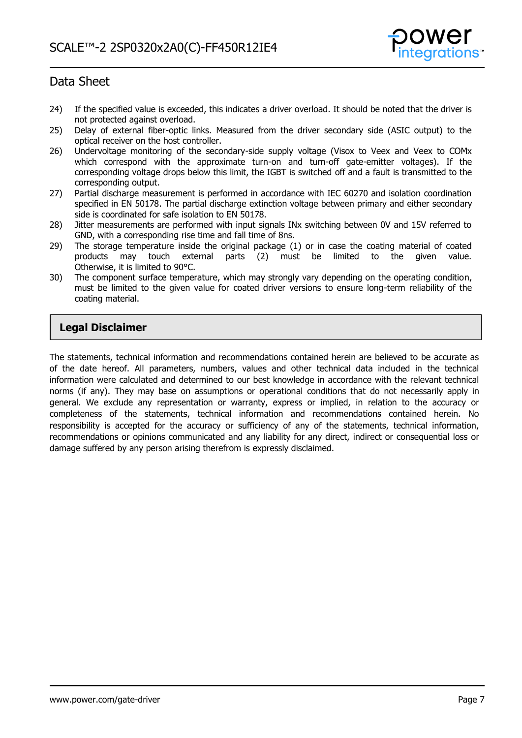

- 24) If the specified value is exceeded, this indicates a driver overload. It should be noted that the driver is not protected against overload.
- 25) Delay of external fiber-optic links. Measured from the driver secondary side (ASIC output) to the optical receiver on the host controller.
- 26) Undervoltage monitoring of the secondary-side supply voltage (Visox to Veex and Veex to COMx which correspond with the approximate turn-on and turn-off gate-emitter voltages). If the corresponding voltage drops below this limit, the IGBT is switched off and a fault is transmitted to the corresponding output.
- 27) Partial discharge measurement is performed in accordance with IEC 60270 and isolation coordination specified in EN 50178. The partial discharge extinction voltage between primary and either secondary side is coordinated for safe isolation to EN 50178.
- 28) Jitter measurements are performed with input signals INx switching between 0V and 15V referred to GND, with a corresponding rise time and fall time of 8ns.
- 29) The storage temperature inside the original package (1) or in case the coating material of coated products may touch external parts (2) must be limited to the given value. may touch external parts (2) must be limited to the given value. Otherwise, it is limited to 90°C.
- 30) The component surface temperature, which may strongly vary depending on the operating condition, must be limited to the given value for coated driver versions to ensure long-term reliability of the coating material.

## **Legal Disclaimer**

The statements, technical information and recommendations contained herein are believed to be accurate as of the date hereof. All parameters, numbers, values and other technical data included in the technical information were calculated and determined to our best knowledge in accordance with the relevant technical norms (if any). They may base on assumptions or operational conditions that do not necessarily apply in general. We exclude any representation or warranty, express or implied, in relation to the accuracy or completeness of the statements, technical information and recommendations contained herein. No responsibility is accepted for the accuracy or sufficiency of any of the statements, technical information, recommendations or opinions communicated and any liability for any direct, indirect or consequential loss or damage suffered by any person arising therefrom is expressly disclaimed.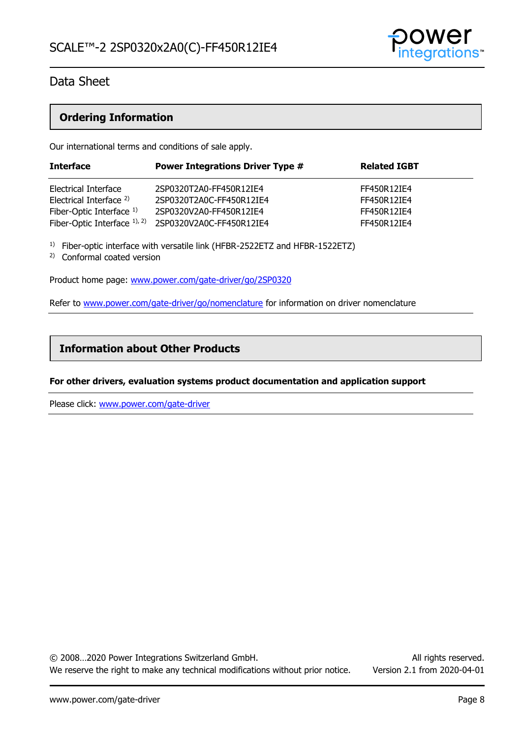

### **Ordering Information**

Our international terms and conditions of sale apply.

| <b>Interface</b>                   | <b>Power Integrations Driver Type #</b> | <b>Related IGBT</b> |
|------------------------------------|-----------------------------------------|---------------------|
| Electrical Interface               | 2SP0320T2A0-FF450R12IE4                 | FF450R12IE4         |
| Electrical Interface <sup>2)</sup> | 2SP0320T2A0C-FF450R12IE4                | FF450R12IE4         |
| Fiber-Optic Interface 1)           | 2SP0320V2A0-FF450R12IE4                 | FF450R12IE4         |
| Fiber-Optic Interface $1$ , $2$ )  | 2SP0320V2A0C-FF450R12IE4                | FF450R12IE4         |

<sup>1)</sup> Fiber-optic interface with versatile link (HFBR-2522ETZ and HFBR-1522ETZ)

2) Conformal coated version

Product home page: [www.power.com/gate-driver/go/2SP0320](http://www.power.com/gate-driver/go/2SP0320)

Refer to [www.power.com/gate-driver/go/nomenclature](http://www.power.com/gate-driver/go/nomenclature) for information on driver nomenclature

### **Information about Other Products**

### **For other drivers, evaluation systems product documentation and application support**

Please click: [www.power.com/gate-driver](http://www.power.com/gate-driver)

© 2008…2020 Power Integrations Switzerland GmbH. All rights reserved. We reserve the right to make any technical modifications without prior notice. Version 2.1 from 2020-04-01